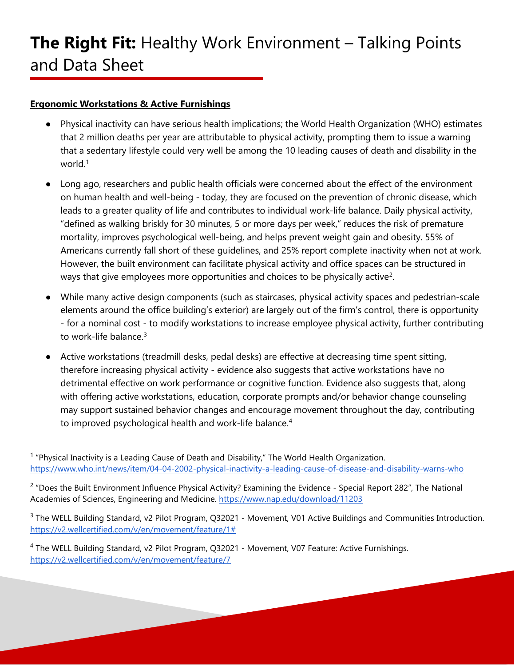#### **Ergonomic Workstations & Active Furnishings**

- Physical inactivity can have serious health implications; the World Health Organization (WHO) estimates that 2 million deaths per year are attributable to physical activity, prompting them to issue a warning that a sedentary lifestyle could very well be among the 10 leading causes of death and disability in the world.[1](#page-0-0)
- Long ago, researchers and public health officials were concerned about the effect of the environment on human health and well-being - today, they are focused on the prevention of chronic disease, which leads to a greater quality of life and contributes to individual work-life balance. Daily physical activity, "defined as walking briskly for 30 minutes, 5 or more days per week," reduces the risk of premature mortality, improves psychological well-being, and helps prevent weight gain and obesity. 55% of Americans currently fall short of these guidelines, and 25% report complete inactivity when not at work. However, the built environment can facilitate physical activity and office spaces can be structured in ways that give employees more opportunities and choices to be physically active<sup>[2](#page-0-1)</sup>.
- While many active design components (such as staircases, physical activity spaces and pedestrian-scale elements around the office building's exterior) are largely out of the firm's control, there is opportunity - for a nominal cost - to modify workstations to increase employee physical activity, further contributing to work-life balance.[3](#page-0-2)
- Active workstations (treadmill desks, pedal desks) are effective at decreasing time spent sitting, therefore increasing physical activity - evidence also suggests that active workstations have no detrimental effective on work performance or cognitive function. Evidence also suggests that, along with offering active workstations, education, corporate prompts and/or behavior change counseling may support sustained behavior changes and encourage movement throughout the day, contributing to improved psychological health and work-life balance.<sup>[4](#page-0-3)</sup>

<span id="page-0-0"></span> $1$  "Physical Inactivity is a Leading Cause of Death and Disability," The World Health Organization. <https://www.who.int/news/item/04-04-2002-physical-inactivity-a-leading-cause-of-disease-and-disability-warns-who>

<span id="page-0-1"></span> $2$  "Does the Built Environment Influence Physical Activity? Examining the Evidence - Special Report 282", The National Academies of Sciences, Engineering and Medicine.<https://www.nap.edu/download/11203>

<span id="page-0-2"></span><sup>&</sup>lt;sup>3</sup> The WELL Building Standard, v2 Pilot Program, Q32021 - Movement, V01 Active Buildings and Communities Introduction. [https://v2.wellcertified.com/v/en/movement/feature/1#](https://v2.wellcertified.com/v/en/movement/feature/1)

<span id="page-0-3"></span><sup>4</sup> The WELL Building Standard, v2 Pilot Program, Q32021 - Movement, V07 Feature: Active Furnishings. <https://v2.wellcertified.com/v/en/movement/feature/7>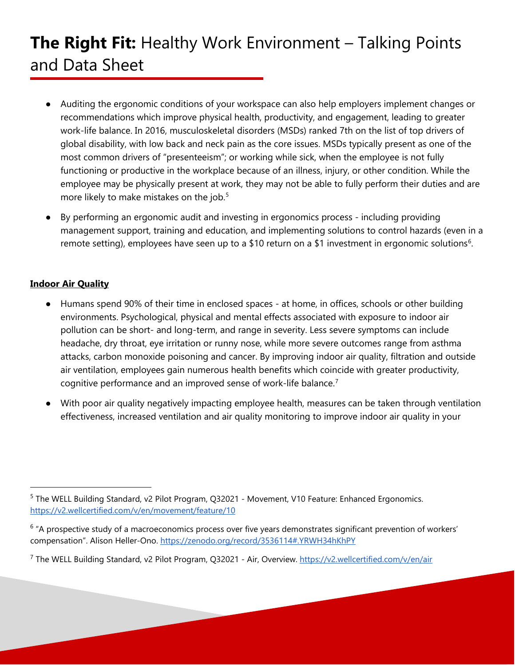# **The Right Fit:** Healthy Work Environment – Talking Points and Data Sheet

- Auditing the ergonomic conditions of your workspace can also help employers implement changes or recommendations which improve physical health, productivity, and engagement, leading to greater work-life balance. In 2016, musculoskeletal disorders (MSDs) ranked 7th on the list of top drivers of global disability, with low back and neck pain as the core issues. MSDs typically present as one of the most common drivers of "presenteeism"; or working while sick, when the employee is not fully functioning or productive in the workplace because of an illness, injury, or other condition. While the employee may be physically present at work, they may not be able to fully perform their duties and are more likely to make mistakes on the job.<sup>5</sup>
- By performing an ergonomic audit and investing in ergonomics process including providing management support, training and education, and implementing solutions to control hazards (even in a remote setting), employees have seen up to a \$10 return on a \$1 investment in ergonomic solutions<sup>[6](#page-1-1)</sup>.

#### **Indoor Air Quality**

- Humans spend 90% of their time in enclosed spaces at home, in offices, schools or other building environments. Psychological, physical and mental effects associated with exposure to indoor air pollution can be short- and long-term, and range in severity. Less severe symptoms can include headache, dry throat, eye irritation or runny nose, while more severe outcomes range from asthma attacks, carbon monoxide poisoning and cancer. By improving indoor air quality, filtration and outside air ventilation, employees gain numerous health benefits which coincide with greater productivity, cognitive performance and an improved sense of work-life balance.<sup>[7](#page-1-2)</sup>
- With poor air quality negatively impacting employee health, measures can be taken through ventilation effectiveness, increased ventilation and air quality monitoring to improve indoor air quality in your

<span id="page-1-0"></span><sup>5</sup> The WELL Building Standard, v2 Pilot Program, Q32021 - Movement, V10 Feature: Enhanced Ergonomics. <https://v2.wellcertified.com/v/en/movement/feature/10>

<span id="page-1-1"></span><sup>&</sup>lt;sup>6</sup> "A prospective study of a macroeconomics process over five years demonstrates significant prevention of workers' compensation". Alison Heller-Ono.<https://zenodo.org/record/3536114#.YRWH34hKhPY>

<span id="page-1-2"></span><sup>&</sup>lt;sup>7</sup> The WELL Building Standard, v2 Pilot Program, Q32021 - Air, Overview.<https://v2.wellcertified.com/v/en/air>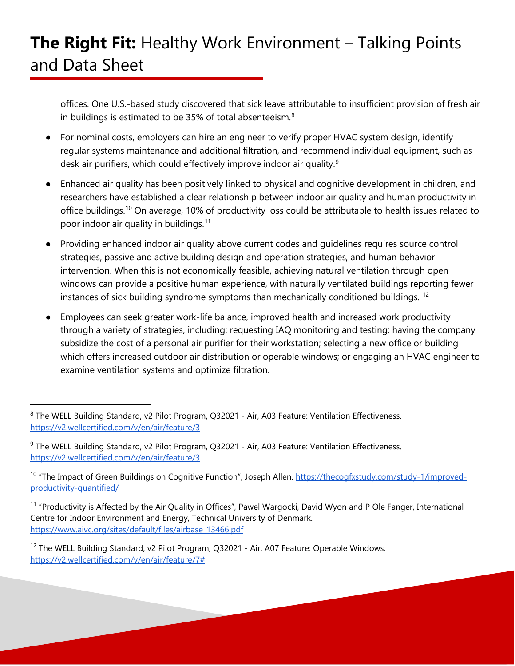offices. One U.S.-based study discovered that sick leave attributable to insufficient provision of fresh air in buildings is estimated to be 35% of total absenteeism.<sup>[8](#page-2-0)</sup>

- For nominal costs, employers can hire an engineer to verify proper HVAC system design, identify regular systems maintenance and additional filtration, and recommend individual equipment, such as desk air purifiers, which could effectively improve indoor air quality.<sup>[9](#page-2-1)</sup>
- Enhanced air quality has been positively linked to physical and cognitive development in children, and researchers have established a clear relationship between indoor air quality and human productivity in office buildings.[10](#page-2-2) On average, 10% of productivity loss could be attributable to health issues related to poor indoor air quality in buildings.[11](#page-2-3)
- Providing enhanced indoor air quality above current codes and guidelines requires source control strategies, passive and active building design and operation strategies, and human behavior intervention. When this is not economically feasible, achieving natural ventilation through open windows can provide a positive human experience, with naturally ventilated buildings reporting fewer instances of sick building syndrome symptoms than mechanically conditioned buildings.<sup>[12](#page-2-4)</sup>
- Employees can seek greater work-life balance, improved health and increased work productivity through a variety of strategies, including: requesting IAQ monitoring and testing; having the company subsidize the cost of a personal air purifier for their workstation; selecting a new office or building which offers increased outdoor air distribution or operable windows; or engaging an HVAC engineer to examine ventilation systems and optimize filtration.

<span id="page-2-0"></span><sup>8</sup> The WELL Building Standard, v2 Pilot Program, Q32021 - Air, A03 Feature: Ventilation Effectiveness. <https://v2.wellcertified.com/v/en/air/feature/3>

<span id="page-2-1"></span><sup>&</sup>lt;sup>9</sup> The WELL Building Standard, v2 Pilot Program, Q32021 - Air, A03 Feature: Ventilation Effectiveness. <https://v2.wellcertified.com/v/en/air/feature/3>

<span id="page-2-2"></span><sup>&</sup>lt;sup>10</sup> "The Impact of Green Buildings on Cognitive Function", Joseph Allen. [https://thecogfxstudy.com/study-1/improved](https://thecogfxstudy.com/study-1/improved-productivity-quantified/)[productivity-quantified/](https://thecogfxstudy.com/study-1/improved-productivity-quantified/)

<span id="page-2-3"></span><sup>&</sup>lt;sup>11</sup> "Productivity is Affected by the Air Quality in Offices", Pawel Wargocki, David Wyon and P Ole Fanger, International Centre for Indoor Environment and Energy, Technical University of Denmark. [https://www.aivc.org/sites/default/files/airbase\\_13466.pdf](https://www.aivc.org/sites/default/files/airbase_13466.pdf)

<span id="page-2-4"></span><sup>&</sup>lt;sup>12</sup> The WELL Building Standard, v2 Pilot Program, Q32021 - Air, A07 Feature: Operable Windows. [https://v2.wellcertified.com/v/en/air/feature/7#](https://v2.wellcertified.com/v/en/air/feature/7)